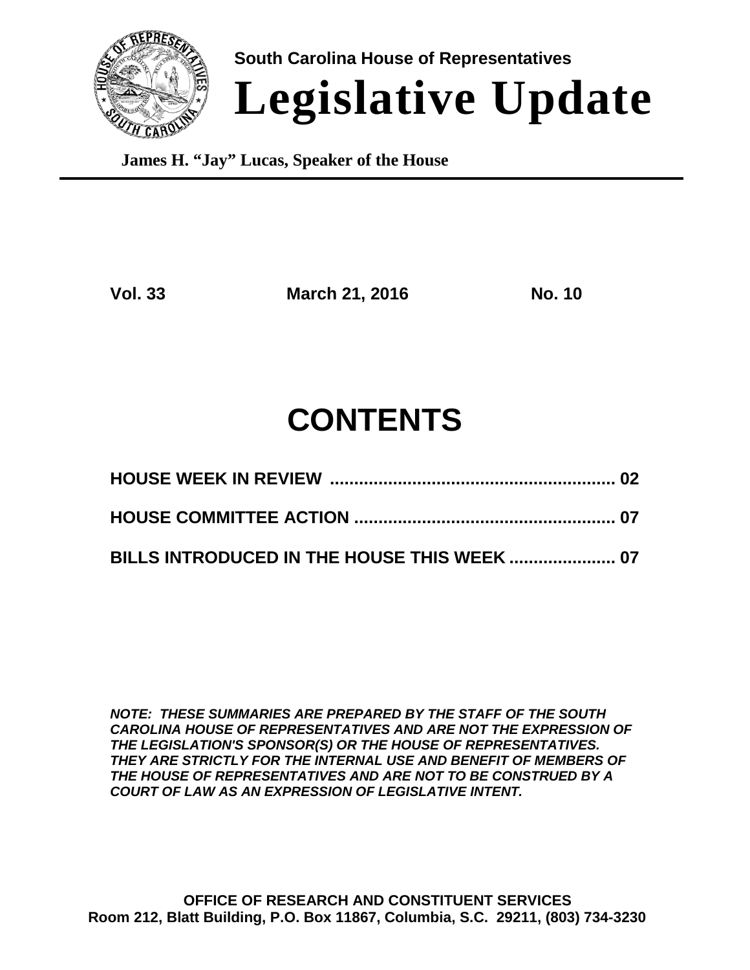

**South Carolina House of Representatives Legislative Update**

**James H. "Jay" Lucas, Speaker of the House**

**Vol. 33 March 21, 2016 No. 10**

# **CONTENTS**

**BILLS INTRODUCED IN THE HOUSE THIS WEEK ...................... 07**

*NOTE: THESE SUMMARIES ARE PREPARED BY THE STAFF OF THE SOUTH CAROLINA HOUSE OF REPRESENTATIVES AND ARE NOT THE EXPRESSION OF THE LEGISLATION'S SPONSOR(S) OR THE HOUSE OF REPRESENTATIVES. THEY ARE STRICTLY FOR THE INTERNAL USE AND BENEFIT OF MEMBERS OF THE HOUSE OF REPRESENTATIVES AND ARE NOT TO BE CONSTRUED BY A COURT OF LAW AS AN EXPRESSION OF LEGISLATIVE INTENT.*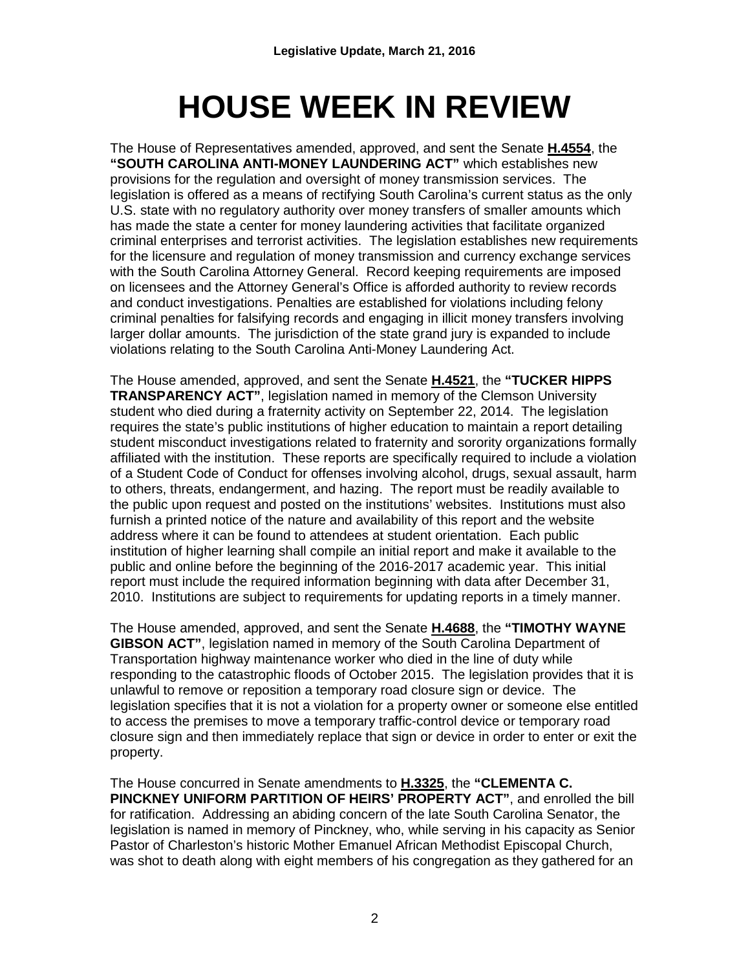# **HOUSE WEEK IN REVIEW**

The House of Representatives amended, approved, and sent the Senate **H.4554**, the **"SOUTH CAROLINA ANTI-MONEY LAUNDERING ACT"** which establishes new provisions for the regulation and oversight of money transmission services. The legislation is offered as a means of rectifying South Carolina's current status as the only U.S. state with no regulatory authority over money transfers of smaller amounts which has made the state a center for money laundering activities that facilitate organized criminal enterprises and terrorist activities. The legislation establishes new requirements for the licensure and regulation of money transmission and currency exchange services with the South Carolina Attorney General. Record keeping requirements are imposed on licensees and the Attorney General's Office is afforded authority to review records and conduct investigations. Penalties are established for violations including felony criminal penalties for falsifying records and engaging in illicit money transfers involving larger dollar amounts. The jurisdiction of the state grand jury is expanded to include violations relating to the South Carolina Anti-Money Laundering Act.

The House amended, approved, and sent the Senate **H.4521**, the **"TUCKER HIPPS TRANSPARENCY ACT"**, legislation named in memory of the Clemson University student who died during a fraternity activity on September 22, 2014. The legislation requires the state's public institutions of higher education to maintain a report detailing student misconduct investigations related to fraternity and sorority organizations formally affiliated with the institution. These reports are specifically required to include a violation of a Student Code of Conduct for offenses involving alcohol, drugs, sexual assault, harm to others, threats, endangerment, and hazing. The report must be readily available to the public upon request and posted on the institutions' websites. Institutions must also furnish a printed notice of the nature and availability of this report and the website address where it can be found to attendees at student orientation. Each public institution of higher learning shall compile an initial report and make it available to the public and online before the beginning of the 2016-2017 academic year. This initial report must include the required information beginning with data after December 31, 2010. Institutions are subject to requirements for updating reports in a timely manner.

The House amended, approved, and sent the Senate **H.4688**, the **"TIMOTHY WAYNE GIBSON ACT"**, legislation named in memory of the South Carolina Department of Transportation highway maintenance worker who died in the line of duty while responding to the catastrophic floods of October 2015. The legislation provides that it is unlawful to remove or reposition a temporary road closure sign or device. The legislation specifies that it is not a violation for a property owner or someone else entitled to access the premises to move a temporary traffic-control device or temporary road closure sign and then immediately replace that sign or device in order to enter or exit the property.

The House concurred in Senate amendments to **H.3325**, the **"CLEMENTA C. PINCKNEY UNIFORM PARTITION OF HEIRS' PROPERTY ACT"**, and enrolled the bill for ratification. Addressing an abiding concern of the late South Carolina Senator, the legislation is named in memory of Pinckney, who, while serving in his capacity as Senior Pastor of Charleston's historic Mother Emanuel African Methodist Episcopal Church, was shot to death along with eight members of his congregation as they gathered for an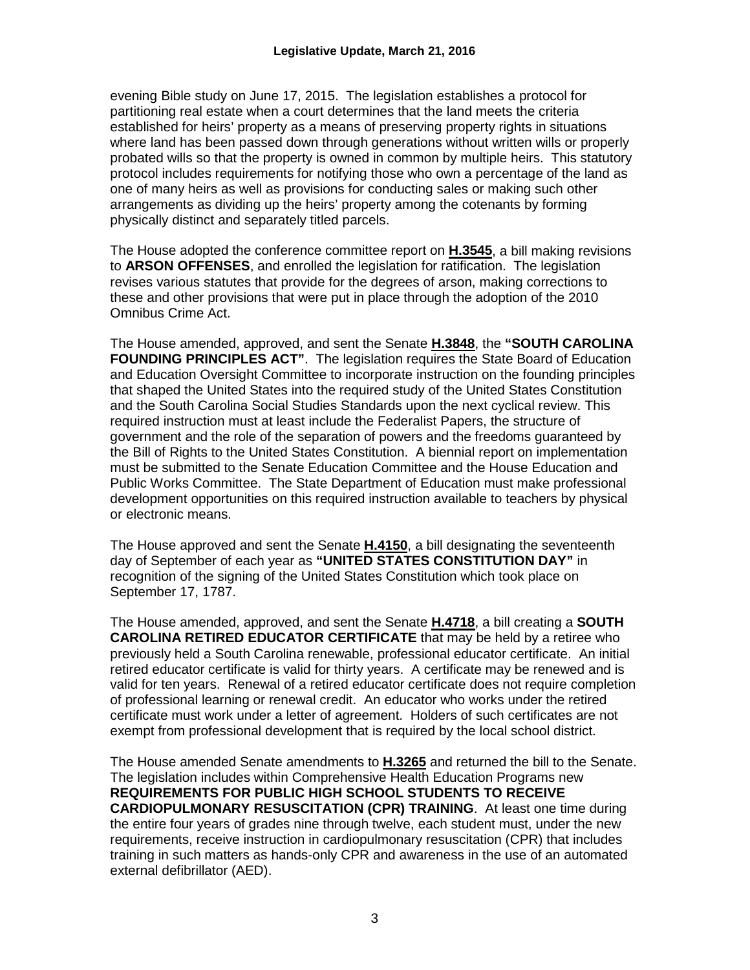evening Bible study on June 17, 2015. The legislation establishes a protocol for partitioning real estate when a court determines that the land meets the criteria established for heirs' property as a means of preserving property rights in situations where land has been passed down through generations without written wills or properly probated wills so that the property is owned in common by multiple heirs. This statutory protocol includes requirements for notifying those who own a percentage of the land as one of many heirs as well as provisions for conducting sales or making such other arrangements as dividing up the heirs' property among the cotenants by forming physically distinct and separately titled parcels.

The House adopted the conference committee report on **H.3545**, a bill making revisions to **ARSON OFFENSES**, and enrolled the legislation for ratification. The legislation revises various statutes that provide for the degrees of arson, making corrections to these and other provisions that were put in place through the adoption of the 2010 Omnibus Crime Act.

The House amended, approved, and sent the Senate **H.3848**, the **"SOUTH CAROLINA FOUNDING PRINCIPLES ACT"**. The legislation requires the State Board of Education and Education Oversight Committee to incorporate instruction on the founding principles that shaped the United States into the required study of the United States Constitution and the South Carolina Social Studies Standards upon the next cyclical review. This required instruction must at least include the Federalist Papers, the structure of government and the role of the separation of powers and the freedoms guaranteed by the Bill of Rights to the United States Constitution. A biennial report on implementation must be submitted to the Senate Education Committee and the House Education and Public Works Committee. The State Department of Education must make professional development opportunities on this required instruction available to teachers by physical or electronic means.

The House approved and sent the Senate **H.4150**, a bill designating the seventeenth day of September of each year as **"UNITED STATES CONSTITUTION DAY"** in recognition of the signing of the United States Constitution which took place on September 17, 1787.

The House amended, approved, and sent the Senate **H.4718**, a bill creating a **SOUTH CAROLINA RETIRED EDUCATOR CERTIFICATE** that may be held by a retiree who previously held a South Carolina renewable, professional educator certificate. An initial retired educator certificate is valid for thirty years. A certificate may be renewed and is valid for ten years. Renewal of a retired educator certificate does not require completion of professional learning or renewal credit. An educator who works under the retired certificate must work under a letter of agreement. Holders of such certificates are not exempt from professional development that is required by the local school district.

The House amended Senate amendments to **H.3265** and returned the bill to the Senate. The legislation includes within Comprehensive Health Education Programs new **REQUIREMENTS FOR PUBLIC HIGH SCHOOL STUDENTS TO RECEIVE CARDIOPULMONARY RESUSCITATION (CPR) TRAINING**. At least one time during the entire four years of grades nine through twelve, each student must, under the new requirements, receive instruction in cardiopulmonary resuscitation (CPR) that includes training in such matters as hands-only CPR and awareness in the use of an automated external defibrillator (AED).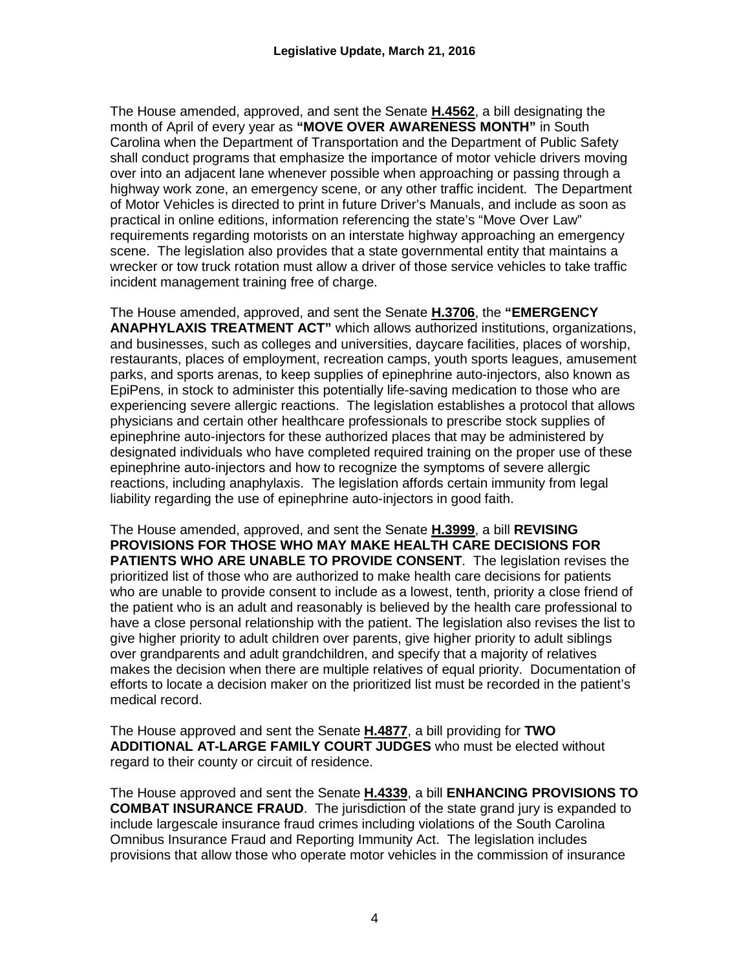The House amended, approved, and sent the Senate **H.4562**, a bill designating the month of April of every year as **"MOVE OVER AWARENESS MONTH"** in South Carolina when the Department of Transportation and the Department of Public Safety shall conduct programs that emphasize the importance of motor vehicle drivers moving over into an adjacent lane whenever possible when approaching or passing through a highway work zone, an emergency scene, or any other traffic incident. The Department of Motor Vehicles is directed to print in future Driver's Manuals, and include as soon as practical in online editions, information referencing the state's "Move Over Law" requirements regarding motorists on an interstate highway approaching an emergency scene. The legislation also provides that a state governmental entity that maintains a wrecker or tow truck rotation must allow a driver of those service vehicles to take traffic incident management training free of charge.

The House amended, approved, and sent the Senate **H.3706**, the **"EMERGENCY ANAPHYLAXIS TREATMENT ACT"** which allows authorized institutions, organizations, and businesses, such as colleges and universities, daycare facilities, places of worship, restaurants, places of employment, recreation camps, youth sports leagues, amusement parks, and sports arenas, to keep supplies of epinephrine auto-injectors, also known as EpiPens, in stock to administer this potentially life-saving medication to those who are experiencing severe allergic reactions. The legislation establishes a protocol that allows physicians and certain other healthcare professionals to prescribe stock supplies of epinephrine auto-injectors for these authorized places that may be administered by designated individuals who have completed required training on the proper use of these epinephrine auto-injectors and how to recognize the symptoms of severe allergic reactions, including anaphylaxis. The legislation affords certain immunity from legal liability regarding the use of epinephrine auto-injectors in good faith.

The House amended, approved, and sent the Senate **H.3999**, a bill **REVISING PROVISIONS FOR THOSE WHO MAY MAKE HEALTH CARE DECISIONS FOR PATIENTS WHO ARE UNABLE TO PROVIDE CONSENT**. The legislation revises the prioritized list of those who are authorized to make health care decisions for patients who are unable to provide consent to include as a lowest, tenth, priority a close friend of the patient who is an adult and reasonably is believed by the health care professional to have a close personal relationship with the patient. The legislation also revises the list to give higher priority to adult children over parents, give higher priority to adult siblings over grandparents and adult grandchildren, and specify that a majority of relatives makes the decision when there are multiple relatives of equal priority. Documentation of efforts to locate a decision maker on the prioritized list must be recorded in the patient's medical record.

The House approved and sent the Senate **H.4877**, a bill providing for **TWO ADDITIONAL AT-LARGE FAMILY COURT JUDGES** who must be elected without regard to their county or circuit of residence.

The House approved and sent the Senate **H.4339**, a bill **ENHANCING PROVISIONS TO COMBAT INSURANCE FRAUD**. The jurisdiction of the state grand jury is expanded to include largescale insurance fraud crimes including violations of the South Carolina Omnibus Insurance Fraud and Reporting Immunity Act. The legislation includes provisions that allow those who operate motor vehicles in the commission of insurance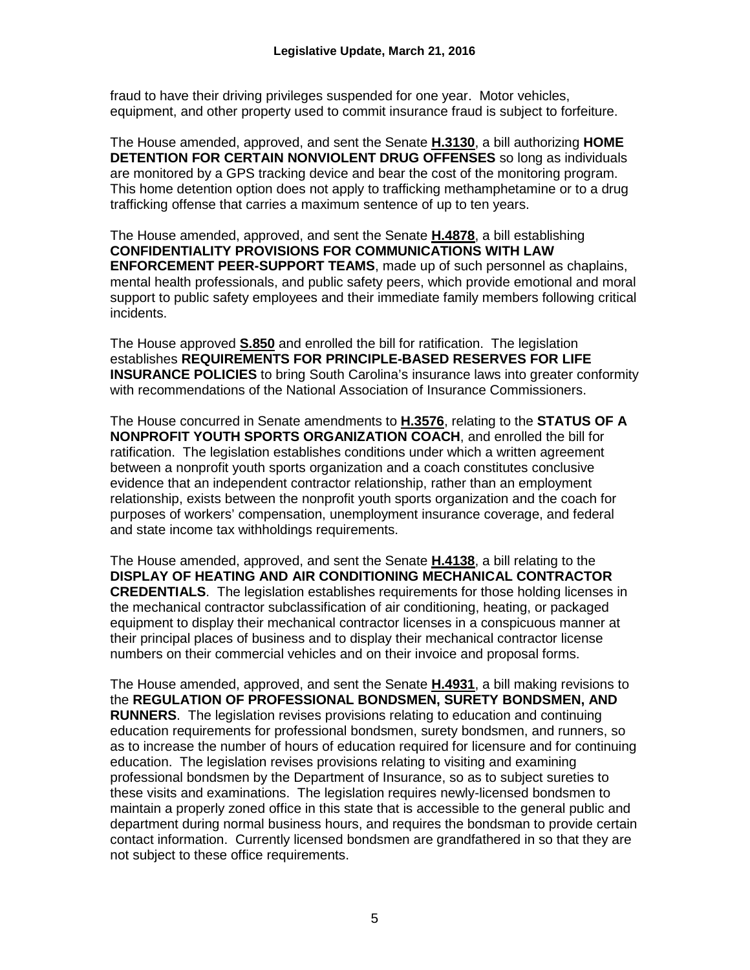fraud to have their driving privileges suspended for one year. Motor vehicles, equipment, and other property used to commit insurance fraud is subject to forfeiture.

The House amended, approved, and sent the Senate **H.3130**, a bill authorizing **HOME DETENTION FOR CERTAIN NONVIOLENT DRUG OFFENSES** so long as individuals are monitored by a GPS tracking device and bear the cost of the monitoring program. This home detention option does not apply to trafficking methamphetamine or to a drug trafficking offense that carries a maximum sentence of up to ten years.

The House amended, approved, and sent the Senate **H.4878**, a bill establishing **CONFIDENTIALITY PROVISIONS FOR COMMUNICATIONS WITH LAW ENFORCEMENT PEER-SUPPORT TEAMS**, made up of such personnel as chaplains, mental health professionals, and public safety peers, which provide emotional and moral support to public safety employees and their immediate family members following critical incidents.

The House approved **S.850** and enrolled the bill for ratification. The legislation establishes **REQUIREMENTS FOR PRINCIPLE-BASED RESERVES FOR LIFE INSURANCE POLICIES** to bring South Carolina's insurance laws into greater conformity with recommendations of the National Association of Insurance Commissioners.

The House concurred in Senate amendments to **H.3576**, relating to the **STATUS OF A NONPROFIT YOUTH SPORTS ORGANIZATION COACH**, and enrolled the bill for ratification. The legislation establishes conditions under which a written agreement between a nonprofit youth sports organization and a coach constitutes conclusive evidence that an independent contractor relationship, rather than an employment relationship, exists between the nonprofit youth sports organization and the coach for purposes of workers' compensation, unemployment insurance coverage, and federal and state income tax withholdings requirements.

The House amended, approved, and sent the Senate **H.4138**, a bill relating to the **DISPLAY OF HEATING AND AIR CONDITIONING MECHANICAL CONTRACTOR CREDENTIALS**. The legislation establishes requirements for those holding licenses in the mechanical contractor subclassification of air conditioning, heating, or packaged equipment to display their mechanical contractor licenses in a conspicuous manner at their principal places of business and to display their mechanical contractor license numbers on their commercial vehicles and on their invoice and proposal forms.

The House amended, approved, and sent the Senate **H.4931**, a bill making revisions to the **REGULATION OF PROFESSIONAL BONDSMEN, SURETY BONDSMEN, AND RUNNERS**. The legislation revises provisions relating to education and continuing education requirements for professional bondsmen, surety bondsmen, and runners, so as to increase the number of hours of education required for licensure and for continuing education. The legislation revises provisions relating to visiting and examining professional bondsmen by the Department of Insurance, so as to subject sureties to these visits and examinations. The legislation requires newly-licensed bondsmen to maintain a properly zoned office in this state that is accessible to the general public and department during normal business hours, and requires the bondsman to provide certain contact information. Currently licensed bondsmen are grandfathered in so that they are not subject to these office requirements.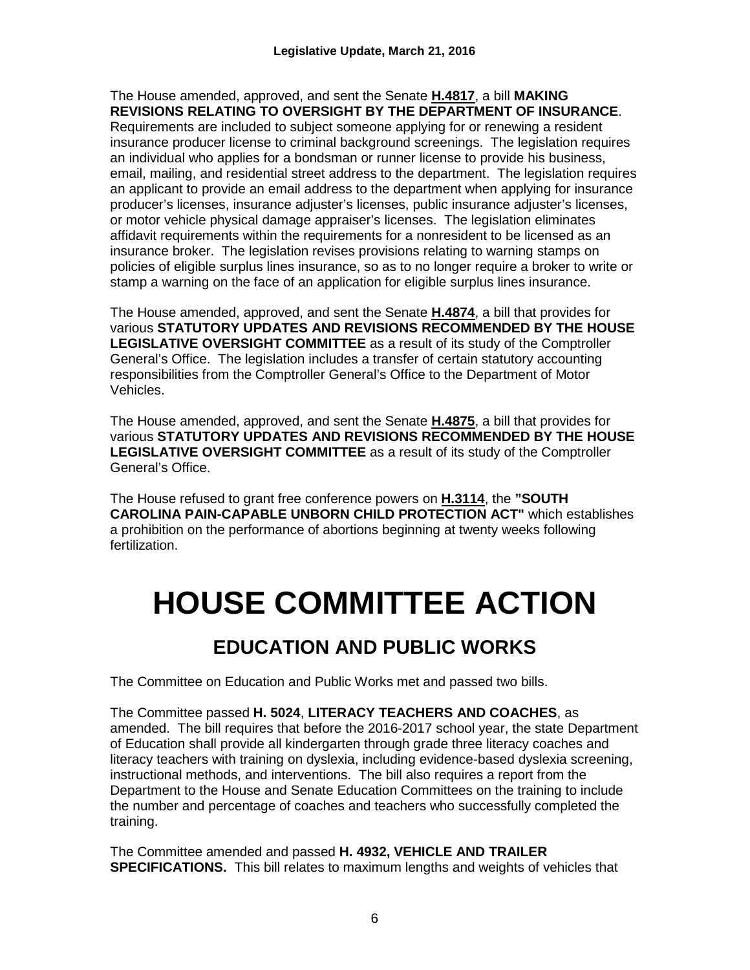The House amended, approved, and sent the Senate **H.4817**, a bill **MAKING REVISIONS RELATING TO OVERSIGHT BY THE DEPARTMENT OF INSURANCE**.

Requirements are included to subject someone applying for or renewing a resident insurance producer license to criminal background screenings. The legislation requires an individual who applies for a bondsman or runner license to provide his business, email, mailing, and residential street address to the department. The legislation requires an applicant to provide an email address to the department when applying for insurance producer's licenses, insurance adjuster's licenses, public insurance adjuster's licenses, or motor vehicle physical damage appraiser's licenses. The legislation eliminates affidavit requirements within the requirements for a nonresident to be licensed as an insurance broker. The legislation revises provisions relating to warning stamps on policies of eligible surplus lines insurance, so as to no longer require a broker to write or stamp a warning on the face of an application for eligible surplus lines insurance.

The House amended, approved, and sent the Senate **H.4874**, a bill that provides for various **STATUTORY UPDATES AND REVISIONS RECOMMENDED BY THE HOUSE LEGISLATIVE OVERSIGHT COMMITTEE** as a result of its study of the Comptroller General's Office. The legislation includes a transfer of certain statutory accounting responsibilities from the Comptroller General's Office to the Department of Motor Vehicles.

The House amended, approved, and sent the Senate **H.4875**, a bill that provides for various **STATUTORY UPDATES AND REVISIONS RECOMMENDED BY THE HOUSE LEGISLATIVE OVERSIGHT COMMITTEE** as a result of its study of the Comptroller General's Office.

The House refused to grant free conference powers on **H.3114**, the **"SOUTH CAROLINA PAIN-CAPABLE UNBORN CHILD PROTECTION ACT"** which establishes a prohibition on the performance of abortions beginning at twenty weeks following fertilization.

# **HOUSE COMMITTEE ACTION**

## **EDUCATION AND PUBLIC WORKS**

The Committee on Education and Public Works met and passed two bills.

The Committee passed **H. 5024**, **LITERACY TEACHERS AND COACHES**, as amended. The bill requires that before the 2016-2017 school year, the state Department of Education shall provide all kindergarten through grade three literacy coaches and literacy teachers with training on dyslexia, including evidence-based dyslexia screening, instructional methods, and interventions. The bill also requires a report from the Department to the House and Senate Education Committees on the training to include the number and percentage of coaches and teachers who successfully completed the training.

The Committee amended and passed **H. 4932, VEHICLE AND TRAILER SPECIFICATIONS.** This bill relates to maximum lengths and weights of vehicles that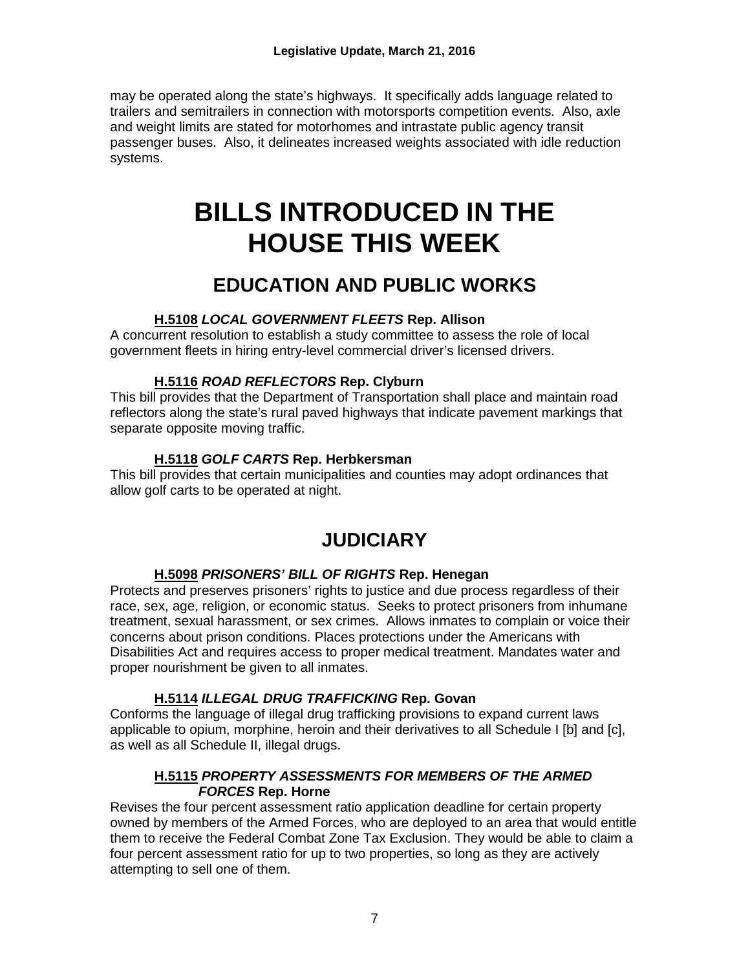may be operated along the state's highways. It specifically adds language related to trailers and semitrailers in connection with motorsports competition events. Also, axle and weight limits are stated for motorhomes and intrastate public agency transit passenger buses. Also, it delineates increased weights associated with idle reduction systems.

## **BILLS INTRODUCED IN THE HOUSE THIS WEEK**

### **EDUCATION AND PUBLIC WORKS**

#### **H.5108** *LOCAL GOVERNMENT FLEETS* **Rep. Allison**

A concurrent resolution to establish a study committee to assess the role of local government fleets in hiring entry-level commercial driver's licensed drivers.

#### **H.5116** *ROAD REFLECTORS* **Rep. Clyburn**

This bill provides that the Department of Transportation shall place and maintain road reflectors along the state's rural paved highways that indicate pavement markings that separate opposite moving traffic.

#### **H.5118** *GOLF CARTS* **Rep. Herbkersman**

This bill provides that certain municipalities and counties may adopt ordinances that allow golf carts to be operated at night.

### **JUDICIARY**

#### **H.5098** *PRISONERS' BILL OF RIGHTS* **Rep. Henegan**

Protects and preserves prisoners' rights to justice and due process regardless of their race, sex, age, religion, or economic status. Seeks to protect prisoners from inhumane treatment, sexual harassment, or sex crimes. Allows inmates to complain or voice their concerns about prison conditions. Places protections under the Americans with Disabilities Act and requires access to proper medical treatment. Mandates water and proper nourishment be given to all inmates.

#### **H.5114** *ILLEGAL DRUG TRAFFICKING* **Rep. Govan**

Conforms the language of illegal drug trafficking provisions to expand current laws applicable to opium, morphine, heroin and their derivatives to all Schedule I [b] and [c], as well as all Schedule II, illegal drugs.

#### **H.5115** *PROPERTY ASSESSMENTS FOR MEMBERS OF THE ARMED FORCES* **Rep. Horne**

Revises the four percent assessment ratio application deadline for certain property owned by members of the Armed Forces, who are deployed to an area that would entitle them to receive the Federal Combat Zone Tax Exclusion. They would be able to claim a four percent assessment ratio for up to two properties, so long as they are actively attempting to sell one of them.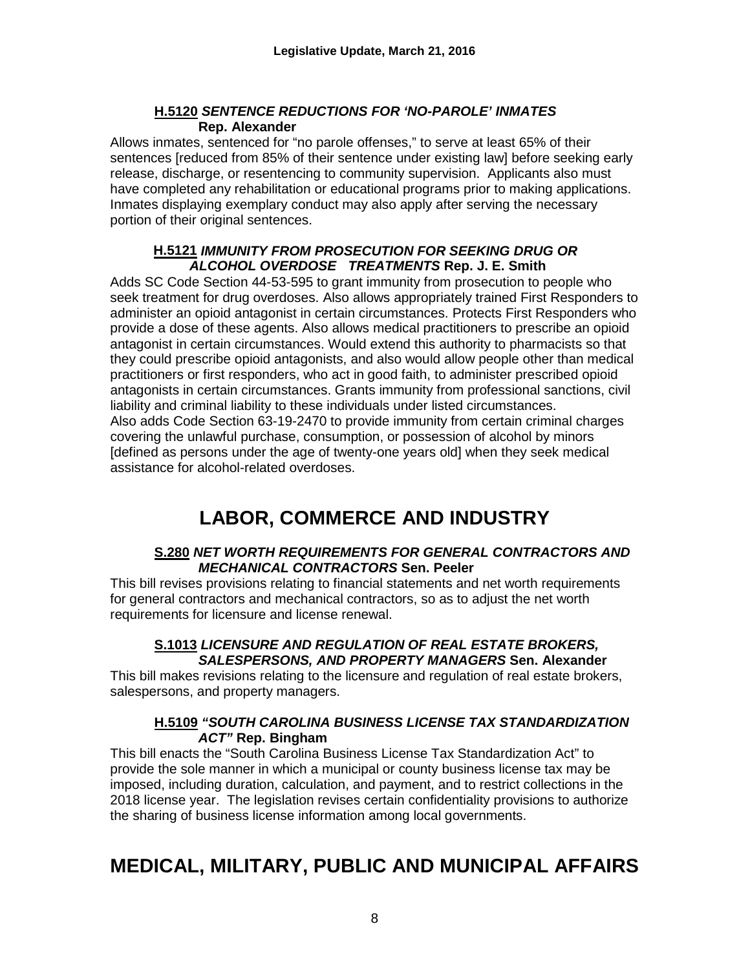#### **H.5120** *SENTENCE REDUCTIONS FOR 'NO-PAROLE' INMATES*  **Rep. Alexander**

Allows inmates, sentenced for "no parole offenses," to serve at least 65% of their sentences [reduced from 85% of their sentence under existing law] before seeking early release, discharge, or resentencing to community supervision. Applicants also must have completed any rehabilitation or educational programs prior to making applications. Inmates displaying exemplary conduct may also apply after serving the necessary portion of their original sentences.

#### **H.5121** *IMMUNITY FROM PROSECUTION FOR SEEKING DRUG OR ALCOHOL OVERDOSE TREATMENTS* **Rep. J. E. Smith**

Adds SC Code Section 44-53-595 to grant immunity from prosecution to people who seek treatment for drug overdoses. Also allows appropriately trained First Responders to administer an opioid antagonist in certain circumstances. Protects First Responders who provide a dose of these agents. Also allows medical practitioners to prescribe an opioid antagonist in certain circumstances. Would extend this authority to pharmacists so that they could prescribe opioid antagonists, and also would allow people other than medical practitioners or first responders, who act in good faith, to administer prescribed opioid antagonists in certain circumstances. Grants immunity from professional sanctions, civil liability and criminal liability to these individuals under listed circumstances. Also adds Code Section 63-19-2470 to provide immunity from certain criminal charges covering the unlawful purchase, consumption, or possession of alcohol by minors [defined as persons under the age of twenty-one years old] when they seek medical assistance for alcohol-related overdoses.

## **LABOR, COMMERCE AND INDUSTRY**

#### **S.280** *NET WORTH REQUIREMENTS FOR GENERAL CONTRACTORS AND MECHANICAL CONTRACTORS* **Sen. Peeler**

This bill revises provisions relating to financial statements and net worth requirements for general contractors and mechanical contractors, so as to adjust the net worth requirements for licensure and license renewal.

#### **S.1013** *LICENSURE AND REGULATION OF REAL ESTATE BROKERS, SALESPERSONS, AND PROPERTY MANAGERS* **Sen. Alexander**

This bill makes revisions relating to the licensure and regulation of real estate brokers, salespersons, and property managers.

#### **H.5109** *"SOUTH CAROLINA BUSINESS LICENSE TAX STANDARDIZATION ACT"* **Rep. Bingham**

This bill enacts the "South Carolina Business License Tax Standardization Act" to provide the sole manner in which a municipal or county business license tax may be imposed, including duration, calculation, and payment, and to restrict collections in the 2018 license year. The legislation revises certain confidentiality provisions to authorize the sharing of business license information among local governments.

## **MEDICAL, MILITARY, PUBLIC AND MUNICIPAL AFFAIRS**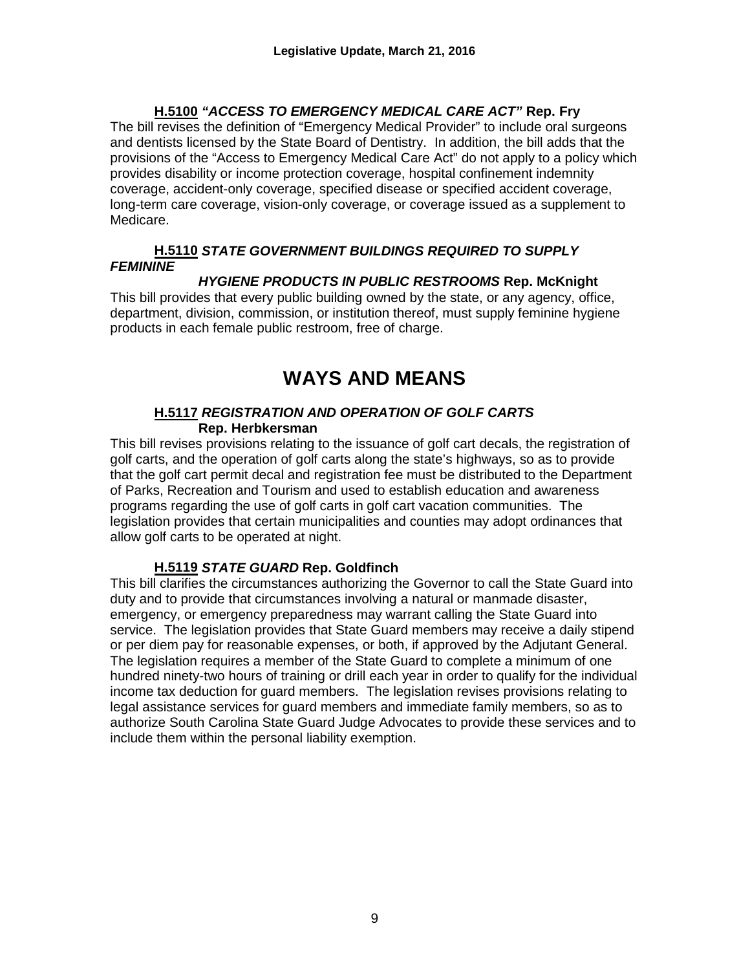#### **H.5100** *"ACCESS TO EMERGENCY MEDICAL CARE ACT"* **Rep. Fry**

The bill revises the definition of "Emergency Medical Provider" to include oral surgeons and dentists licensed by the State Board of Dentistry. In addition, the bill adds that the provisions of the "Access to Emergency Medical Care Act" do not apply to a policy which provides disability or income protection coverage, hospital confinement indemnity coverage, accident-only coverage, specified disease or specified accident coverage, long-term care coverage, vision-only coverage, or coverage issued as a supplement to Medicare.

#### **H.5110** *STATE GOVERNMENT BUILDINGS REQUIRED TO SUPPLY FEMININE*

#### *HYGIENE PRODUCTS IN PUBLIC RESTROOMS* **Rep. McKnight**

This bill provides that every public building owned by the state, or any agency, office, department, division, commission, or institution thereof, must supply feminine hygiene products in each female public restroom, free of charge.

### **WAYS AND MEANS**

#### **H.5117** *REGISTRATION AND OPERATION OF GOLF CARTS* **Rep. Herbkersman**

This bill revises provisions relating to the issuance of golf cart decals, the registration of golf carts, and the operation of golf carts along the state's highways, so as to provide that the golf cart permit decal and registration fee must be distributed to the Department of Parks, Recreation and Tourism and used to establish education and awareness programs regarding the use of golf carts in golf cart vacation communities. The legislation provides that certain municipalities and counties may adopt ordinances that allow golf carts to be operated at night.

#### **H.5119** *STATE GUARD* **Rep. Goldfinch**

This bill clarifies the circumstances authorizing the Governor to call the State Guard into duty and to provide that circumstances involving a natural or manmade disaster, emergency, or emergency preparedness may warrant calling the State Guard into service. The legislation provides that State Guard members may receive a daily stipend or per diem pay for reasonable expenses, or both, if approved by the Adjutant General. The legislation requires a member of the State Guard to complete a minimum of one hundred ninety-two hours of training or drill each year in order to qualify for the individual income tax deduction for guard members. The legislation revises provisions relating to legal assistance services for guard members and immediate family members, so as to authorize South Carolina State Guard Judge Advocates to provide these services and to include them within the personal liability exemption.